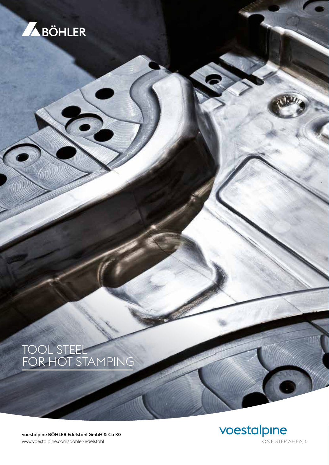

### TOOL STEEL FOR HOT STAMPING



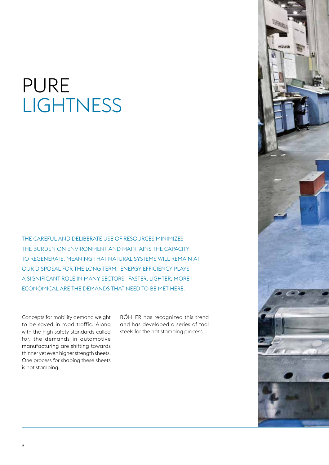## PURE **LIGHTNESS**

THE CAREFUL AND DELIBERATE USE OF RESOURCES MINIMIZES THE BURDEN ON ENVIRONMENT AND MAINTAINS THE CAPACITY TO REGENERATE, MEANING THAT NATURAL SYSTEMS WILL REMAIN AT OUR DISPOSAL FOR THE LONG TERM. ENERGY EFFICIENCY PLAYS A SIGNIFICANT ROLE IN MANY SECTORS. FASTER, LIGHTER, MORE ECONOMICAL ARE THE DEMANDS THAT NEED TO BE MET HERE.

Concepts for mobility demand weight to be saved in road traffic. Along with the high safety standards called for, the demands in automotive manufacturing are shifting towards thinner yet even higher strength sheets. One process for shaping these sheets is hot stamping.

BÖHLER has recognized this trend and has developed a series of tool steels for the hot stamping process.

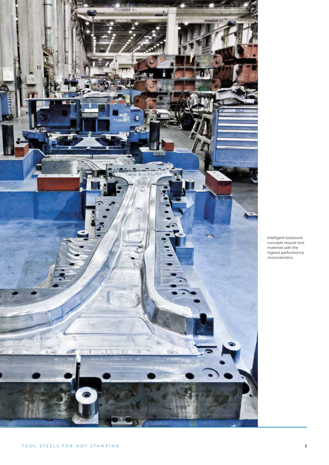

Intelligent bodywork concepts require tool materials with the highest performance characteristics.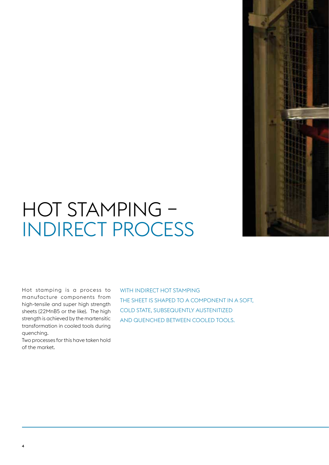

# HOT STAMPING – INDIRECT PROCESS

Hot stamping is a process to manufacture components from high-tensile and super high strength sheets (22MnB5 or the like). The high strength is achieved by the martensitic transformation in cooled tools during quenching.

Two processes for this have taken hold of the market.

WITH INDIRECT HOT STAMPING THE SHEET IS SHAPED TO A COMPONENT IN A SOFT, COLD STATE, SUBSEQUENTLY AUSTENITIZED AND QUENCHED BETWEEN COOLED TOOLS.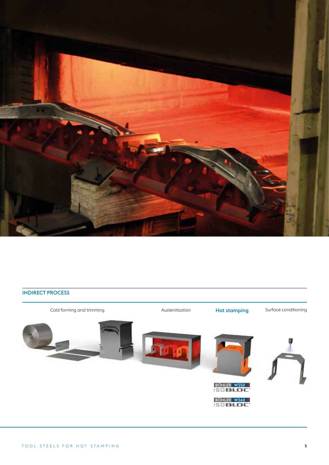

#### INDIRECT PROCESS

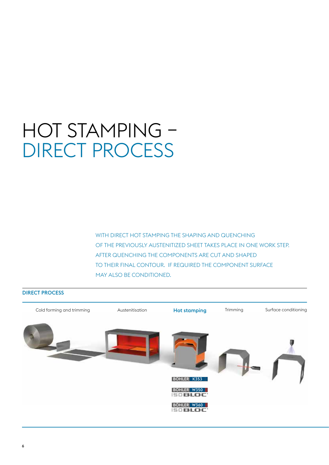# HOT STAMPING – DIRECT PROCESS

WITH DIRECT HOT STAMPING THE SHAPING AND QUENCHING OF THE PREVIOUSLY AUSTENITIZED SHEET TAKES PLACE IN ONE WORK STEP. AFTER QUENCHING THE COMPONENTS ARE CUT AND SHAPED TO THEIR FINAL CONTOUR. IF REQUIRED THE COMPONENT SURFACE MAY ALSO BE CONDITIONED.

#### DIRECT PROCESS

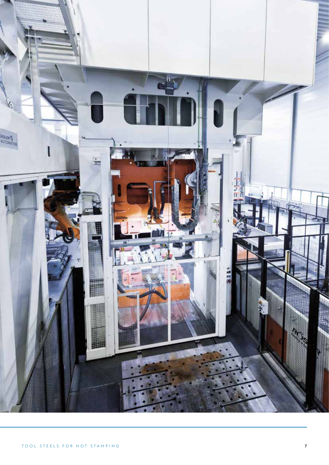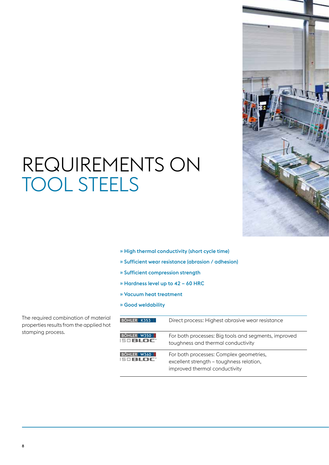

# REQUIREMENTS ON TOOL STEELS

- » High thermal conductivity (short cycle time)
- » Sufficient wear resistance (abrasion / adhesion)
- » Sufficient compression strength
- » Hardness level up to 42 60 HRC
- » Vacuum heat treatment
- » Good weldability

| BÖHLER K353            | Direct process: Highest abrasive wear resistance                                                                     |
|------------------------|----------------------------------------------------------------------------------------------------------------------|
| BÖHLER W350<br>SOBLOC' | For both processes: Big tools and segments, improved<br>toughness and thermal conductivity                           |
| BÖHLER W360<br>SOBLOC' | For both processes: Complex geometries,<br>excellent strength - toughness relation,<br>improved thermal conductivity |

The required combination of material properties results from the applied hot stamping process.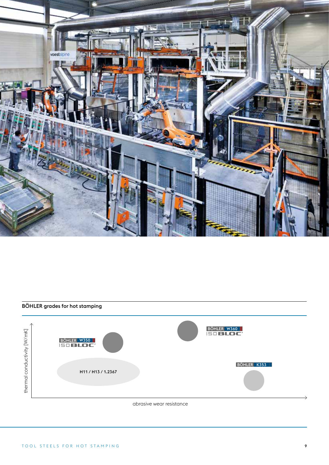

### BÖHLER grades for hot stamping



#### abrasive wear resistance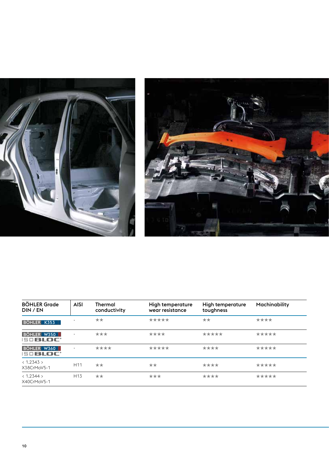



| <b>BÖHLER Grade</b><br>DIN / EN         | <b>AISI</b>     | <b>Thermal</b><br>conductivity | High temperature<br>wear resistance | High temperature<br>toughness | Machinability |
|-----------------------------------------|-----------------|--------------------------------|-------------------------------------|-------------------------------|---------------|
| BÖHLER K353                             |                 | **                             | *****                               | **                            | ****          |
| BÖHLER W350<br>ISO BLOC'                |                 | ***                            | ****                                | *****                         | *****         |
| BÖHLER W360<br>ISO BLOC'                |                 | ****                           | *****                               | ****                          | *****         |
| $\langle 1.2343 \rangle$<br>X38CrMoV5-1 | H <sub>11</sub> | **                             | **                                  | ****                          | *****         |
| $\langle 1.2344 \rangle$<br>X40CrMoV5-1 | H <sub>13</sub> | **                             | ***                                 | ****                          | *****         |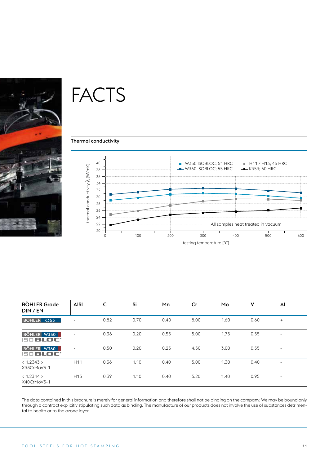

### **FACTS**

#### Thermal conductivity



| <b>BÖHLER Grade</b><br>DIN / EN         | <b>AISI</b>     | C    | Si   | Mn   | Cr   | Mo   | ٧    | Al                               |
|-----------------------------------------|-----------------|------|------|------|------|------|------|----------------------------------|
| BÖHLER K353                             |                 | 0.82 | 0.70 | 0.40 | 8.00 | 1.60 | 0.60 | $\begin{array}{c} + \end{array}$ |
| BÖHLER W350<br>ISO BLOC'                |                 | 0.38 | 0.20 | 0.55 | 5.00 | 1.75 | 0.55 |                                  |
| BÖHLER W360<br>ISO BLOC'                |                 | 0.50 | 0.20 | 0.25 | 4.50 | 3.00 | 0.55 |                                  |
| $\langle 1.2343 \rangle$<br>X38CrMoV5-1 | H <sub>11</sub> | 0.38 | 1.10 | 0.40 | 5.00 | 1.30 | 0.40 | $\overline{\phantom{a}}$         |
| $\langle 1.2344 \rangle$<br>X40CrMoV5-1 | H <sub>13</sub> | 0.39 | 1.10 | 0.40 | 5.20 | 1.40 | 0.95 | $\overline{\phantom{a}}$         |

The data contained in this brochure is merely for general information and therefore shall not be binding on the company. We may be bound only through a contract explicitly stipulating such data as binding. The manufacture of our products does not involve the use of substances detrimental to health or to the ozone layer.